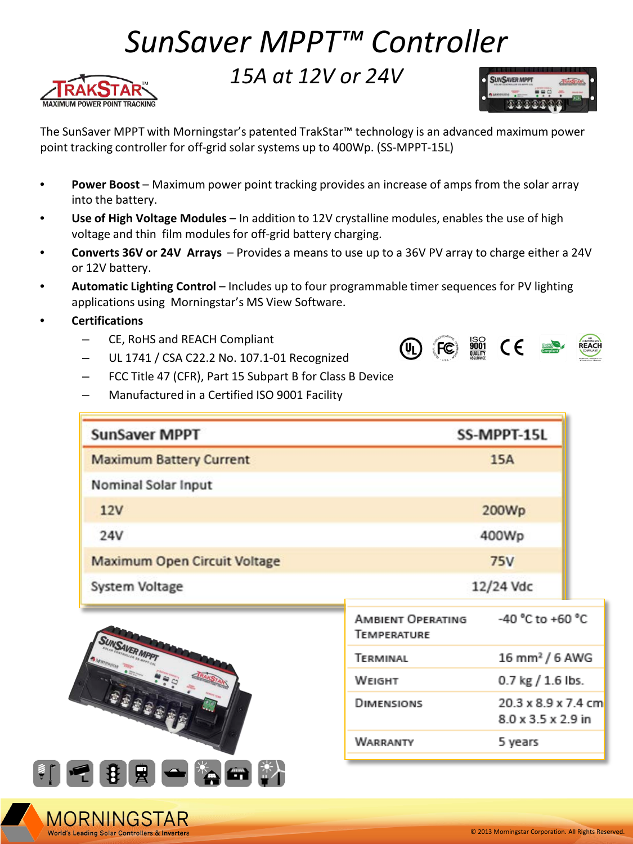## *SunSaver MPPT™ Controller*





The SunSaver MPPT with Morningstar's patented TrakStar™ technology is an advanced maximum power point tracking controller for off-grid solar systems up to 400Wp. (SS-MPPT-15L)

- **Power Boost**  Maximum power point tracking provides an increase of amps from the solar array into the battery.
- **Use of High Voltage Modules**  In addition to 12V crystalline modules, enables the use of high voltage and thin film modules for off-grid battery charging.
- **Converts 36V or 24V Arrays**  Provides a means to use up to a 36V PV array to charge either a 24V or 12V battery.
- **Automatic Lighting Control**  Includes up to four programmable timer sequences for PV lighting applications using Morningstar's MS View Software.
- **Certifications**

MORNINGSTAR

- CE, RoHS and REACH Compliant
- UL 1741 / CSA C22.2 No. 107.1-01 Recognized
- FCC Title 47 (CFR), Part 15 Subpart B for Class B Device
- Manufactured in a Certified ISO 9001 Facility

| <b>SunSaver MPPT</b>                |                                  | SS-MPPT-15L                               |  |
|-------------------------------------|----------------------------------|-------------------------------------------|--|
| <b>Maximum Battery Current</b>      |                                  | 15A                                       |  |
| Nominal Solar Input                 |                                  |                                           |  |
| 12V                                 |                                  | 200Wp                                     |  |
| <b>24V</b>                          |                                  | 400Wp                                     |  |
| <b>Maximum Open Circuit Voltage</b> |                                  | <b>75V</b>                                |  |
| System Voltage                      |                                  | 12/24 Vdc                                 |  |
| <b>SUNSAVER MPP</b><br>电电电电电电       | AMBIENT OPERATING<br>TEMPERATURE | -40 °C to +60 °C                          |  |
|                                     | TERMINAL                         | $16$ mm <sup>2</sup> / 6 AWG              |  |
|                                     | WEIGHT                           | $0.7$ kg $/ 1.6$ lbs.                     |  |
|                                     | DIMENSIONS                       | 20.3 x 8.9 x 7.4 cm<br>8.0 x 3.5 x 2.9 in |  |
|                                     | WARRANTY                         | 5 years                                   |  |